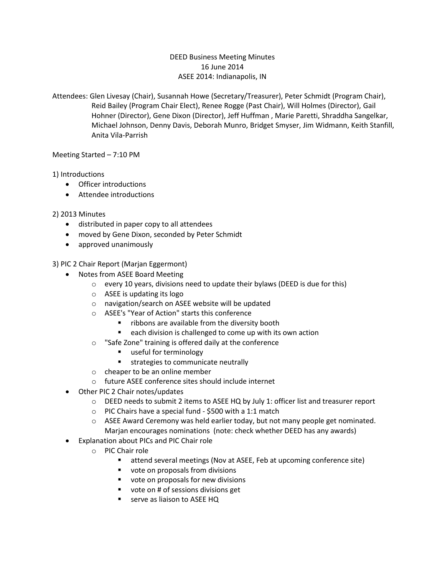### DEED Business Meeting Minutes 16 June 2014 ASEE 2014: Indianapolis, IN

Attendees: Glen Livesay (Chair), Susannah Howe (Secretary/Treasurer), Peter Schmidt (Program Chair), Reid Bailey (Program Chair Elect), Renee Rogge (Past Chair), Will Holmes (Director), Gail Hohner (Director), Gene Dixon (Director), Jeff Huffman , Marie Paretti, Shraddha Sangelkar, Michael Johnson, Denny Davis, Deborah Munro, Bridget Smyser, Jim Widmann, Keith Stanfill, Anita Vila-Parrish

Meeting Started – 7:10 PM

# 1) Introductions

- Officer introductions
- Attendee introductions

# 2) 2013 Minutes

- distributed in paper copy to all attendees
- moved by Gene Dixon, seconded by Peter Schmidt
- approved unanimously

### 3) PIC 2 Chair Report (Marjan Eggermont)

- Notes from ASEE Board Meeting
	- o every 10 years, divisions need to update their bylaws (DEED is due for this)
	- o ASEE is updating its logo
	- o navigation/search on ASEE website will be updated
	- o ASEE's "Year of Action" starts this conference
		- **F** ribbons are available from the diversity booth
		- each division is challenged to come up with its own action
	- o "Safe Zone" training is offered daily at the conference
		- useful for terminology
		- **strategies to communicate neutrally**
	- o cheaper to be an online member
	- o future ASEE conference sites should include internet
- Other PIC 2 Chair notes/updates
	- $\circ$  DEED needs to submit 2 items to ASEE HQ by July 1: officer list and treasurer report
	- o PIC Chairs have a special fund \$500 with a 1:1 match
	- $\circ$  ASEE Award Ceremony was held earlier today, but not many people get nominated. Marjan encourages nominations (note: check whether DEED has any awards)
- Explanation about PICs and PIC Chair role
	- o PIC Chair role
		- attend several meetings (Nov at ASEE, Feb at upcoming conference site)
		- vote on proposals from divisions
		- vote on proposals for new divisions
		- vote on # of sessions divisions get
		- **EXECUTE:** serve as liaison to ASEE HQ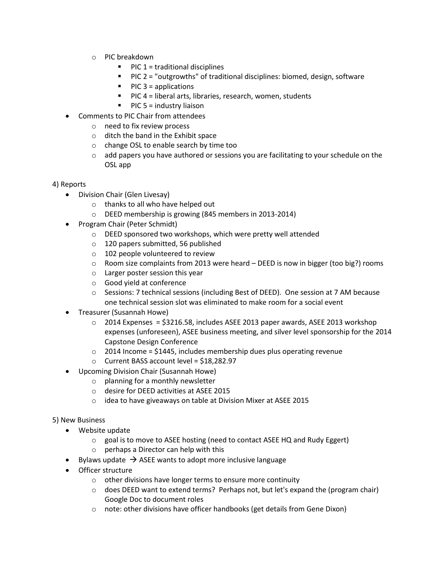- o PIC breakdown
	- $\blacksquare$  PIC 1 = traditional disciplines
	- $\blacksquare$  PIC 2 = "outgrowths" of traditional disciplines: biomed, design, software
	- $\blacksquare$  PIC 3 = applications
	- PIC 4 = liberal arts, libraries, research, women, students
	- $\blacksquare$  PIC 5 = industry liaison
- Comments to PIC Chair from attendees
	- o need to fix review process
	- o ditch the band in the Exhibit space
	- o change OSL to enable search by time too
	- $\circ$  add papers you have authored or sessions you are facilitating to your schedule on the OSL app

#### 4) Reports

- Division Chair (Glen Livesay)
	- o thanks to all who have helped out
	- o DEED membership is growing (845 members in 2013-2014)
- Program Chair (Peter Schmidt)
	- o DEED sponsored two workshops, which were pretty well attended
	- o 120 papers submitted, 56 published
	- o 102 people volunteered to review
	- $\circ$  Room size complaints from 2013 were heard DEED is now in bigger (too big?) rooms
	- o Larger poster session this year
	- o Good yield at conference
	- $\circ$  Sessions: 7 technical sessions (including Best of DEED). One session at 7 AM because one technical session slot was eliminated to make room for a social event
- Treasurer (Susannah Howe)
	- $\circ$  2014 Expenses = \$3216.58, includes ASEE 2013 paper awards, ASEE 2013 workshop expenses (unforeseen), ASEE business meeting, and silver level sponsorship for the 2014 Capstone Design Conference
	- $\circ$  2014 Income = \$1445, includes membership dues plus operating revenue
	- o Current BASS account level = \$18,282.97
- Upcoming Division Chair (Susannah Howe)
	- o planning for a monthly newsletter
	- o desire for DEED activities at ASEE 2015
	- o idea to have giveaways on table at Division Mixer at ASEE 2015

#### 5) New Business

- Website update
	- $\circ$  goal is to move to ASEE hosting (need to contact ASEE HQ and Rudy Eggert)
	- o perhaps a Director can help with this
- Eylaws update  $\rightarrow$  ASEE wants to adopt more inclusive language
- Officer structure
	- o other divisions have longer terms to ensure more continuity
	- $\circ$  does DEED want to extend terms? Perhaps not, but let's expand the (program chair) Google Doc to document roles
	- o note: other divisions have officer handbooks (get details from Gene Dixon)